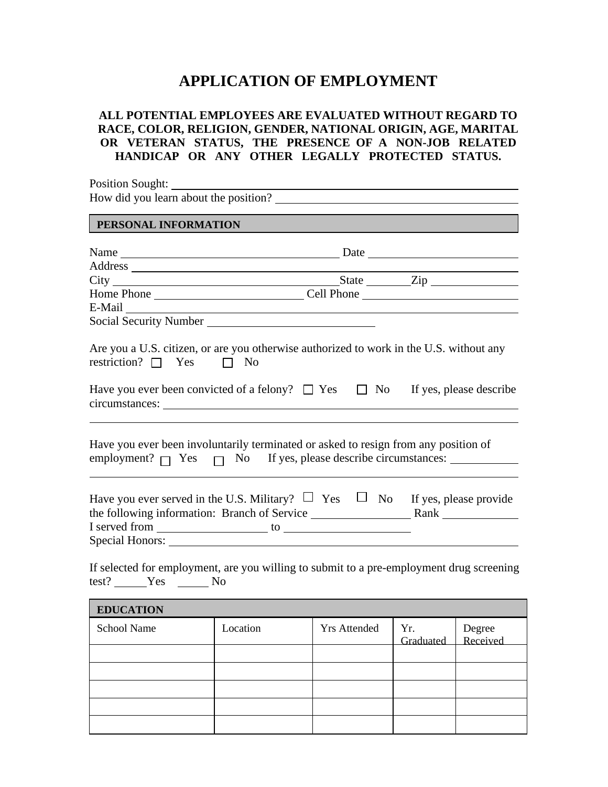## **APPLICATION OF EMPLOYMENT**

## **ALL POTENTIAL EMPLOYEES ARE EVALUATED WITHOUT REGARD TO RACE, COLOR, RELIGION, GENDER, NATIONAL ORIGIN, AGE, MARITAL OR VETERAN STATUS, THE PRESENCE OF A NON-JOB RELATED HANDICAP OR ANY OTHER LEGALLY PROTECTED STATUS.**

| Position Sought: New York Sought:                                                                                                                                                                                              |  |
|--------------------------------------------------------------------------------------------------------------------------------------------------------------------------------------------------------------------------------|--|
|                                                                                                                                                                                                                                |  |
| PERSONAL INFORMATION                                                                                                                                                                                                           |  |
|                                                                                                                                                                                                                                |  |
|                                                                                                                                                                                                                                |  |
|                                                                                                                                                                                                                                |  |
|                                                                                                                                                                                                                                |  |
| E-Mail Land and the contract of the contract of the contract of the contract of the contract of the contract of the contract of the contract of the contract of the contract of the contract of the contract of the contract o |  |
| Social Security Number<br><u> Social Security Number</u>                                                                                                                                                                       |  |
| restriction? $\Box$ Yes $\Box$ No<br>Have you ever been convicted of a felony? $\Box$ Yes $\Box$ No If yes, please describe                                                                                                    |  |
| Have you ever been involuntarily terminated or asked to resign from any position of                                                                                                                                            |  |
| Have you ever served in the U.S. Military? $\Box$ Yes $\Box$ No If yes, please provide                                                                                                                                         |  |
| If selected for employment, are you willing to submit to a pre-employment drug screening                                                                                                                                       |  |

If selected for employment, are you willing to submit to a pre-employment drug screening test? Yes No

| <b>EDUCATION</b>   |          |                     |                  |                    |  |
|--------------------|----------|---------------------|------------------|--------------------|--|
| <b>School Name</b> | Location | <b>Yrs Attended</b> | Yr.<br>Graduated | Degree<br>Received |  |
|                    |          |                     |                  |                    |  |
|                    |          |                     |                  |                    |  |
|                    |          |                     |                  |                    |  |
|                    |          |                     |                  |                    |  |
|                    |          |                     |                  |                    |  |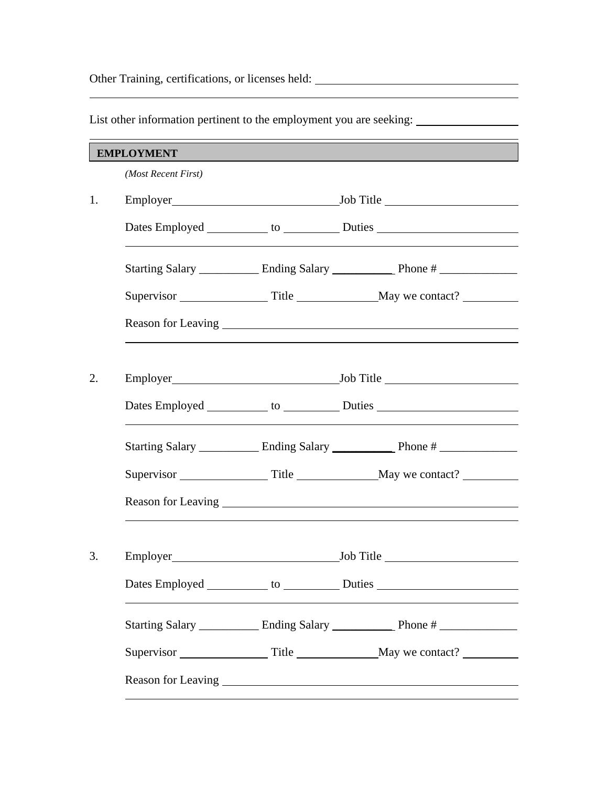Other Training, certifications, or licenses held:

*(Most Recent First)* 1. Employer Job Title Dates Employed to Duties Starting Salary Ending Salary Phone # Supervisor Title May we contact? Reason for Leaving 2. Employer Job Title Dates Employed to Duties Starting Salary \_\_\_\_\_\_\_\_\_\_\_\_ Ending Salary \_\_\_\_\_\_\_\_\_\_\_\_\_ Phone # \_\_\_\_\_\_\_\_\_\_\_\_\_\_\_ Supervisor Title May we contact? Reason for Leaving <u>example and the set of the set of the set of the set of the set of the set of the set of the set of the set of the set of the set of the set of the set of the set of the set of the set of the set of the</u> 3. Employer Job Title Dates Employed to Duties Starting Salary \_\_\_\_\_\_\_\_\_\_ Ending Salary \_\_\_\_\_\_\_\_\_\_ Phone # \_\_\_\_\_\_\_\_\_\_\_\_\_\_ Supervisor Title May we contact? Reason for Leaving **EMPLOYMENT**

List other information pertinent to the employment you are seeking: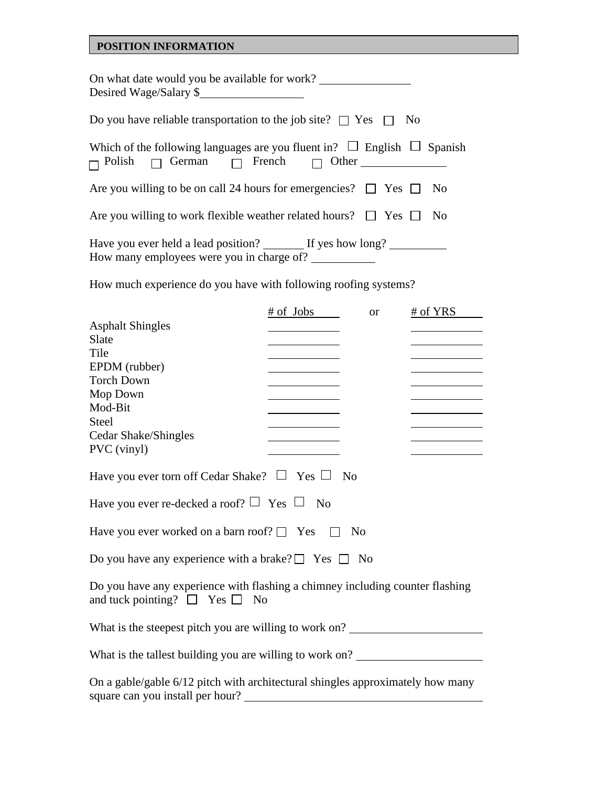## **POSITION INFORMATION**

| On what date would you be available for work?<br>Desired Wage/Salary \$                                                                     |
|---------------------------------------------------------------------------------------------------------------------------------------------|
| Do you have reliable transportation to the job site? $\Box$ Yes $\Box$ No                                                                   |
| Which of the following languages are you fluent in? $\Box$ English $\Box$ Spanish<br>$\Box$ Polish $\Box$ German $\Box$ French $\Box$ Other |
| Are you willing to be on call 24 hours for emergencies? $\Box$ Yes $\Box$ No                                                                |
| Are you willing to work flexible weather related hours? $\Box$ Yes $\Box$<br>$\rm No$                                                       |
| Have you ever held a lead position? If yes how long?<br>How many employees were you in charge of?                                           |

How much experience do you have with following roofing systems?

|                                                                                                                          | $\frac{\text{# of}}{\text{} \text{}$ Jobs                       | <b>or</b> | $#$ of YRS                                      |  |
|--------------------------------------------------------------------------------------------------------------------------|-----------------------------------------------------------------|-----------|-------------------------------------------------|--|
| <b>Asphalt Shingles</b>                                                                                                  |                                                                 |           |                                                 |  |
| Slate                                                                                                                    |                                                                 |           |                                                 |  |
| Tile                                                                                                                     | <u> 1989 - Johann Barn, mars eta bainar e</u>                   |           |                                                 |  |
| EPDM (rubber)                                                                                                            | <u> 1989 - Johann Barnett, fransk politik (</u>                 |           |                                                 |  |
| <b>Torch Down</b>                                                                                                        | <u> 1980 - Johann Barn, mars an t-Amerikaansk kommunister (</u> |           |                                                 |  |
| Mop Down                                                                                                                 | <u> 1980 - Johann Barnett, fransk politiker (</u>               |           | <u> 1989 - Johann Barnett, fransk politik (</u> |  |
| Mod-Bit                                                                                                                  |                                                                 |           |                                                 |  |
| Steel                                                                                                                    |                                                                 |           |                                                 |  |
| Cedar Shake/Shingles                                                                                                     |                                                                 |           |                                                 |  |
| PVC (vinyl)                                                                                                              |                                                                 |           |                                                 |  |
| Have you ever torn off Cedar Shake? $\Box$ Yes $\Box$ No                                                                 |                                                                 |           |                                                 |  |
| Have you ever re-decked a roof? $\Box$ Yes $\Box$ No                                                                     |                                                                 |           |                                                 |  |
| Have you ever worked on a barn roof? $\Box$ Yes $\Box$<br>N <sub>0</sub>                                                 |                                                                 |           |                                                 |  |
| Do you have any experience with a brake? $\Box$ Yes $\Box$ No                                                            |                                                                 |           |                                                 |  |
| Do you have any experience with flashing a chimney including counter flashing<br>and tuck pointing? $\Box$ Yes $\Box$ No |                                                                 |           |                                                 |  |
| What is the steepest pitch you are willing to work on?                                                                   |                                                                 |           |                                                 |  |
| What is the tallest building you are willing to work on? _______________________                                         |                                                                 |           |                                                 |  |
| On a gable/gable 6/12 pitch with architectural shingles approximately how many<br>square can you install per hour?       |                                                                 |           |                                                 |  |